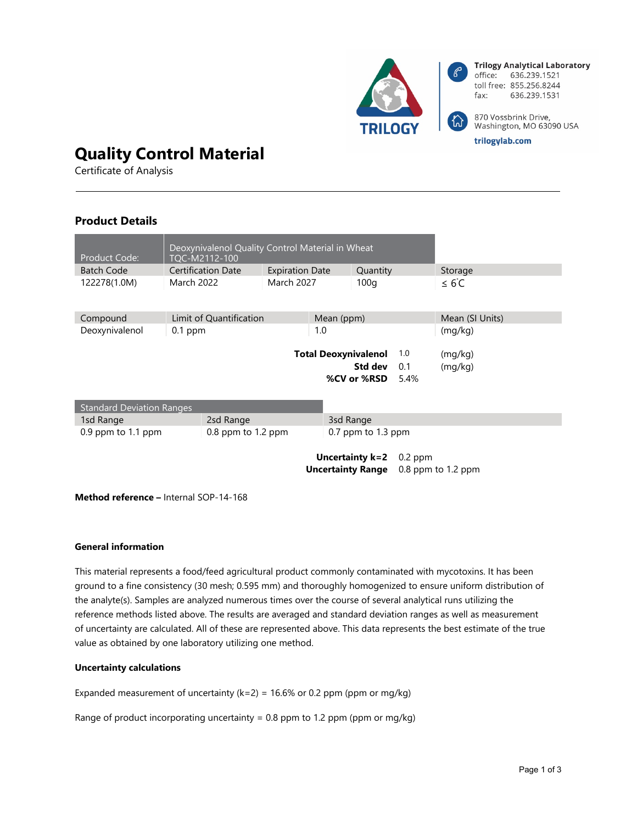

# **Quality Control Material**

Certificate of Analysis

# **Product Details**

| Product Code:                    | Deoxynivalenol Quality Control Material in Wheat<br>TQC-M2112-100 |                         |                          |                      |                             |           |                    |  |
|----------------------------------|-------------------------------------------------------------------|-------------------------|--------------------------|----------------------|-----------------------------|-----------|--------------------|--|
| <b>Batch Code</b>                |                                                                   | Certification Date      | <b>Expiration Date</b>   |                      | Quantity                    |           | Storage            |  |
| 122278(1.0M)                     | <b>March 2022</b><br><b>March 2027</b>                            |                         |                          |                      | 100q                        |           | $\leq 6^{\circ}$ C |  |
|                                  |                                                                   |                         |                          |                      |                             |           |                    |  |
| Compound                         |                                                                   | Limit of Quantification |                          | Mean (ppm)           |                             |           | Mean (SI Units)    |  |
| Deoxynivalenol                   | $0.1$ ppm                                                         |                         |                          | 1.0                  |                             |           | (mg/kg)            |  |
|                                  |                                                                   |                         |                          |                      |                             |           |                    |  |
|                                  |                                                                   |                         |                          |                      | <b>Total Deoxynivalenol</b> | 1.0       | (mg/kg)            |  |
|                                  |                                                                   |                         |                          |                      | Std dev                     | 0.1       | (mq/kg)            |  |
|                                  |                                                                   |                         |                          |                      | %CV or %RSD                 | 5.4%      |                    |  |
|                                  |                                                                   |                         |                          |                      |                             |           |                    |  |
| <b>Standard Deviation Ranges</b> |                                                                   |                         |                          |                      |                             |           |                    |  |
| 1sd Range                        |                                                                   | 2sd Range               |                          |                      | 3sd Range                   |           |                    |  |
| $0.9$ ppm to 1.1 ppm             | $0.8$ ppm to 1.2 ppm                                              |                         |                          | $0.7$ ppm to 1.3 ppm |                             |           |                    |  |
|                                  |                                                                   |                         |                          |                      |                             |           |                    |  |
|                                  |                                                                   |                         |                          |                      | Uncertainty k=2             | $0.2$ ppm |                    |  |
|                                  |                                                                   |                         | <b>Uncertainty Range</b> |                      | 0.8 ppm to 1.2 ppm          |           |                    |  |
|                                  |                                                                   |                         |                          |                      |                             |           |                    |  |

**Method reference –** Internal SOP-14-168

#### **General information**

This material represents a food/feed agricultural product commonly contaminated with mycotoxins. It has been ground to a fine consistency (30 mesh; 0.595 mm) and thoroughly homogenized to ensure uniform distribution of the analyte(s). Samples are analyzed numerous times over the course of several analytical runs utilizing the reference methods listed above. The results are averaged and standard deviation ranges as well as measurement of uncertainty are calculated. All of these are represented above. This data represents the best estimate of the true value as obtained by one laboratory utilizing one method.

#### **Uncertainty calculations**

Expanded measurement of uncertainty ( $k=2$ ) = 16.6% or 0.2 ppm (ppm or mg/kg)

Range of product incorporating uncertainty = 0.8 ppm to 1.2 ppm (ppm or mg/kg)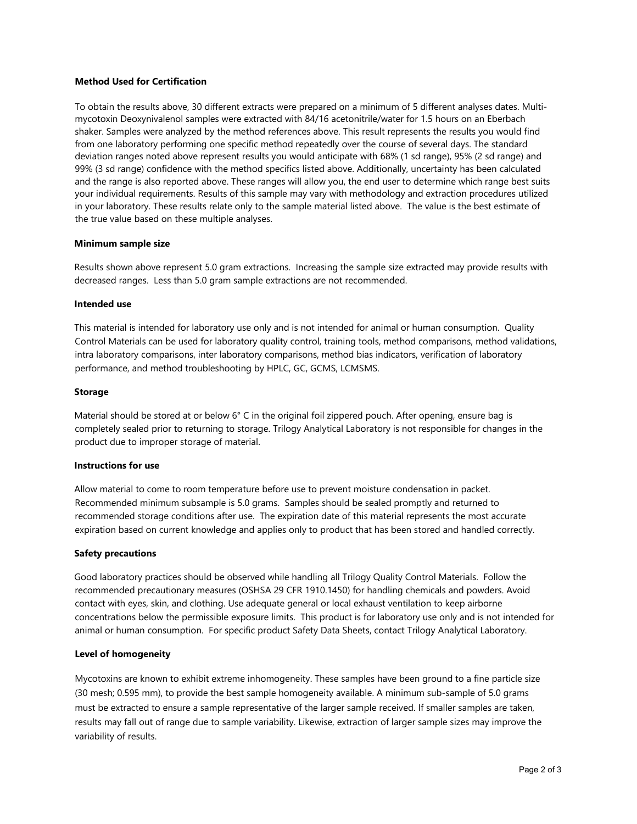## **Method Used for Certification**

To obtain the results above, 30 different extracts were prepared on a minimum of 5 different analyses dates. Multimycotoxin Deoxynivalenol samples were extracted with 84/16 acetonitrile/water for 1.5 hours on an Eberbach shaker. Samples were analyzed by the method references above. This result represents the results you would find from one laboratory performing one specific method repeatedly over the course of several days. The standard deviation ranges noted above represent results you would anticipate with 68% (1 sd range), 95% (2 sd range) and 99% (3 sd range) confidence with the method specifics listed above. Additionally, uncertainty has been calculated and the range is also reported above. These ranges will allow you, the end user to determine which range best suits your individual requirements. Results of this sample may vary with methodology and extraction procedures utilized in your laboratory. These results relate only to the sample material listed above. The value is the best estimate of the true value based on these multiple analyses.

#### **Minimum sample size**

Results shown above represent 5.0 gram extractions. Increasing the sample size extracted may provide results with decreased ranges. Less than 5.0 gram sample extractions are not recommended.

#### **Intended use**

This material is intended for laboratory use only and is not intended for animal or human consumption. Quality Control Materials can be used for laboratory quality control, training tools, method comparisons, method validations, intra laboratory comparisons, inter laboratory comparisons, method bias indicators, verification of laboratory performance, and method troubleshooting by HPLC, GC, GCMS, LCMSMS.

#### **Storage**

Material should be stored at or below 6° C in the original foil zippered pouch. After opening, ensure bag is completely sealed prior to returning to storage. Trilogy Analytical Laboratory is not responsible for changes in the product due to improper storage of material.

# **Instructions for use**

Allow material to come to room temperature before use to prevent moisture condensation in packet. Recommended minimum subsample is 5.0 grams. Samples should be sealed promptly and returned to recommended storage conditions after use. The expiration date of this material represents the most accurate expiration based on current knowledge and applies only to product that has been stored and handled correctly.

#### **Safety precautions**

Good laboratory practices should be observed while handling all Trilogy Quality Control Materials. Follow the recommended precautionary measures (OSHSA 29 CFR 1910.1450) for handling chemicals and powders. Avoid contact with eyes, skin, and clothing. Use adequate general or local exhaust ventilation to keep airborne concentrations below the permissible exposure limits. This product is for laboratory use only and is not intended for animal or human consumption. For specific product Safety Data Sheets, contact Trilogy Analytical Laboratory.

## **Level of homogeneity**

Mycotoxins are known to exhibit extreme inhomogeneity. These samples have been ground to a fine particle size (30 mesh; 0.595 mm), to provide the best sample homogeneity available. A minimum sub-sample of 5.0 grams must be extracted to ensure a sample representative of the larger sample received. If smaller samples are taken, results may fall out of range due to sample variability. Likewise, extraction of larger sample sizes may improve the variability of results.